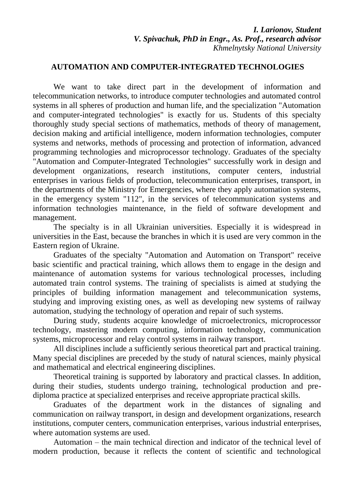## **AUTOMATION AND COMPUTER-INTEGRATED TECHNOLOGIES**

We want to take direct part in the development of information and telecommunication networks, to introduce computer technologies and automated control systems in all spheres of production and human life, and the specialization "Automation and computer-integrated technologies" is exactly for us. Students of this specialty thoroughly study special sections of mathematics, methods of theory of management, decision making and artificial intelligence, modern information technologies, computer systems and networks, methods of processing and protection of information, advanced programming technologies and microprocessor technology. Graduates of the specialty "Automation and Computer-Integrated Technologies" successfully work in design and development organizations, research institutions, computer centers, industrial enterprises in various fields of production, telecommunication enterprises, transport, in the departments of the Ministry for Emergencies, where they apply automation systems, in the emergency system "112", in the services of telecommunication systems and information technologies maintenance, in the field of software development and management.

The specialty is in all Ukrainian universities. Especially it is widespread in universities in the East, because the branches in which it is used are very common in the Eastern region of Ukraine.

Graduates of the specialty "Automation and Automation on Transport" receive basic scientific and practical training, which allows them to engage in the design and maintenance of automation systems for various technological processes, including automated train control systems. The training of specialists is aimed at studying the principles of building information management and telecommunication systems, studying and improving existing ones, as well as developing new systems of railway automation, studying the technology of operation and repair of such systems.

During study, students acquire knowledge of microelectronics, microprocessor technology, mastering modern computing, information technology, communication systems, microprocessor and relay control systems in railway transport.

All disciplines include a sufficiently serious theoretical part and practical training. Many special disciplines are preceded by the study of natural sciences, mainly physical and mathematical and electrical engineering disciplines.

Theoretical training is supported by laboratory and practical classes. In addition, during their studies, students undergo training, technological production and prediploma practice at specialized enterprises and receive appropriate practical skills.

Graduates of the department work in the distances of signaling and communication on railway transport, in design and development organizations, research institutions, computer centers, communication enterprises, various industrial enterprises, where automation systems are used.

Automation – the main technical direction and indicator of the technical level of modern production, because it reflects the content of scientific and technological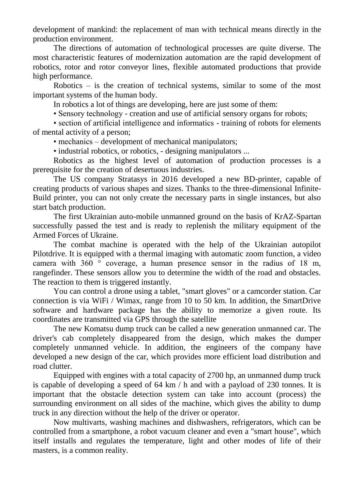development of mankind: the replacement of man with technical means directly in the production environment.

The directions of automation of technological processes are quite diverse. The most characteristic features of modernization automation are the rapid development of robotics, rotor and rotor conveyor lines, flexible automated productions that provide high performance.

Robotics – is the creation of technical systems, similar to some of the most important systems of the human body.

In robotics a lot of things are developing, here are just some of them:

• Sensory technology - creation and use of artificial sensory organs for robots;

• section of artificial intelligence and informatics - training of robots for elements of mental activity of a person;

• mechanics – development of mechanical manipulators;

• industrial robotics, or robotics, - designing manipulators ...

Robotics as the highest level of automation of production processes is a prerequisite for the creation of desertuous industries.

The US company Stratasys in 2016 developed a new BD-printer, capable of creating products of various shapes and sizes. Thanks to the three-dimensional Infinite-Build printer, you can not only create the necessary parts in single instances, but also start batch production.

The first Ukrainian auto-mobile unmanned ground on the basis of KrAZ-Spartan successfully passed the test and is ready to replenish the military equipment of the Armed Forces of Ukraine.

The combat machine is operated with the help of the Ukrainian autopilot Pilotdrive. It is equipped with a thermal imaging with automatic zoom function, a video camera with 360 ° coverage, a human presence sensor in the radius of 18 m, rangefinder. These sensors allow you to determine the width of the road and obstacles. The reaction to them is triggered instantly.

You can control a drone using a tablet, "smart gloves" or a camcorder station. Car connection is via WiFi / Wimax, range from 10 to 50 km. In addition, the SmartDrive software and hardware package has the ability to memorize a given route. Its coordinates are transmitted via GPS through the satellite

The new Komatsu dump truck can be called a new generation unmanned car. The driver's cab completely disappeared from the design, which makes the dumper completely unmanned vehicle. In addition, the engineers of the company have developed a new design of the car, which provides more efficient load distribution and road clutter.

Equipped with engines with a total capacity of 2700 hp, an unmanned dump truck is capable of developing a speed of 64 km / h and with a payload of 230 tonnes. It is important that the obstacle detection system can take into account (process) the surrounding environment on all sides of the machine, which gives the ability to dump truck in any direction without the help of the driver or operator.

Now multivarts, washing machines and dishwashers, refrigerators, which can be controlled from a smartphone, a robot vacuum cleaner and even a "smart house", which itself installs and regulates the temperature, light and other modes of life of their masters, is a common reality.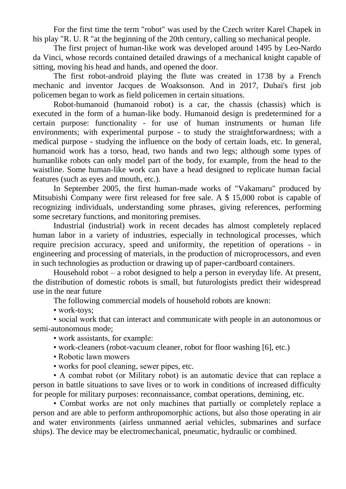For the first time the term "robot" was used by the Czech writer Karel Chapek in his play "R. U. R "at the beginning of the 20th century, calling so mechanical people.

The first project of human-like work was developed around 1495 by Leo-Nardo da Vinci, whose records contained detailed drawings of a mechanical knight capable of sitting, moving his head and hands, and opened the door.

The first robot-android playing the flute was created in 1738 by a French mechanic and inventor Jacques de Woaksonson. And in 2017, Dubai's first job policemen began to work as field policemen in certain situations.

Robot-humanoid (humanoid robot) is a car, the chassis (chassis) which is executed in the form of a human-like body. Humanoid design is predetermined for a certain purpose: functionality - for use of human instruments or human life environments; with experimental purpose - to study the straightforwardness; with a medical purpose - studying the influence on the body of certain loads, etc. In general, humanoid work has a torso, head, two hands and two legs; although some types of humanlike robots can only model part of the body, for example, from the head to the waistline. Some human-like work can have a head designed to replicate human facial features (such as eyes and mouth, etc.).

In September 2005, the first human-made works of "Vakamaru" produced by Mitsubishi Company were first released for free sale. A \$ 15,000 robot is capable of recognizing individuals, understanding some phrases, giving references, performing some secretary functions, and monitoring premises.

Industrial (industrial) work in recent decades has almost completely replaced human labor in a variety of industries, especially in technological processes, which require precision accuracy, speed and uniformity, the repetition of operations - in engineering and processing of materials, in the production of microprocessors, and even in such technologies as production or drawing up of paper-cardboard containers.

Household robot – a robot designed to help a person in everyday life. At present, the distribution of domestic robots is small, but futurologists predict their widespread use in the near future

The following commercial models of household robots are known:

• work-toys:

• social work that can interact and communicate with people in an autonomous or semi-autonomous mode;

• work assistants, for example:

- work-cleaners (robot-vacuum cleaner, robot for floor washing [6], etc.)
- Robotic lawn mowers
- works for pool cleaning, sewer pipes, etc.

• A combat robot (or Military robot) is an automatic device that can replace a person in battle situations to save lives or to work in conditions of increased difficulty for people for military purposes: reconnaissance, combat operations, demining, etc.

• Combat works are not only machines that partially or completely replace a person and are able to perform anthropomorphic actions, but also those operating in air and water environments (airless unmanned aerial vehicles, submarines and surface ships). The device may be electromechanical, pneumatic, hydraulic or combined.